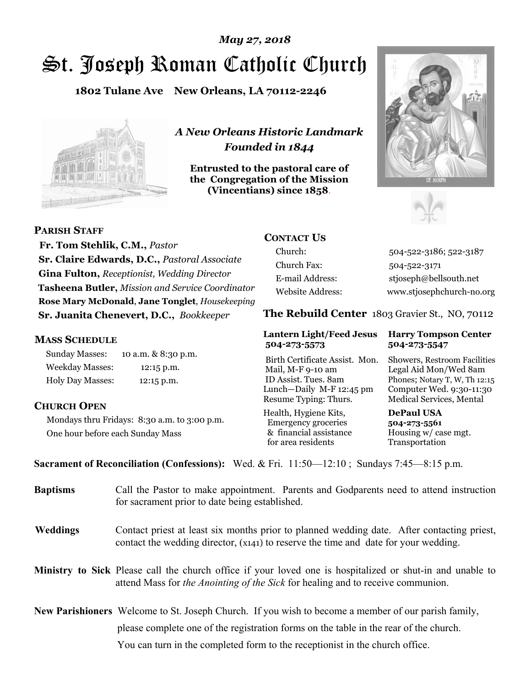# St. Joseph Roman Catholic Church *May 27, 2018*

**1802 Tulane Ave New Orleans, LA 70112-2246**



*A New Orleans Historic Landmark Founded in 1844* 

**Entrusted to the pastoral care of the Congregation of the Mission (Vincentians) since 1858**.





**PARISH STAFF Fr. Tom Stehlik, C.M.,** *Pastor* 

**Sr. Claire Edwards, D.C.,** *Pastoral Associate* **Gina Fulton,** *Receptionist, Wedding Director* **Tasheena Butler,** *Mission and Service Coordinator* **Rose Mary McDonald**, **Jane Tonglet**, *Housekeeping* **Sr. Juanita Chenevert, D.C.,** *Bookkeeper* 

#### **MASS SCHEDULE**

Sunday Masses: 10 a.m. & 8:30 p.m. Weekday Masses: 12:15 p.m. Holy Day Masses: 12:15 p.m.

### **CHURCH OPEN**

Mondays thru Fridays: 8:30 a.m. to 3:00 p.m. One hour before each Sunday Mass

# **CONTACT US**

Church: 504-522-3186; 522-3187 Church Fax: 504-522-3171 E-mail Address: stjoseph@bellsouth.net Website Address: www.stjosephchurch-no.org

**The Rebuild Center** 1803 Gravier St., NO, 70112

#### **Lantern Light/Feed Jesus Harry Tompson Center 504-273-5573 504-273-5547**

Birth Certificate Assist. Mon. Showers, Restroom Facilities Mail, M-F 9-10 am Legal Aid Mon/Wed 8am ID Assist. Tues. 8am Phones; Notary T, W, Th 12:15 Lunch—Daily M-F 12:45 pm Computer Wed. 9:30-11:30 Resume Typing: Thurs. Medical Services, Mental

Health, Hygiene Kits, **DePaul USA**  Emergency groceries **504-273-5561** & financial assistance Housing w/ case mgt.<br>for area residents Transportation for area residents

**Sacrament of Reconciliation (Confessions):** Wed. & Fri. 11:50—12:10 ; Sundays 7:45—8:15 p.m.

| <b>Baptisms</b> | Call the Pastor to make appointment. Parents and Godparents need to attend instruction<br>for sacrament prior to date being established.                                                                   |  |
|-----------------|------------------------------------------------------------------------------------------------------------------------------------------------------------------------------------------------------------|--|
| <b>Weddings</b> | Contact priest at least six months prior to planned wedding date. After contacting priest,<br>contact the wedding director, (x141) to reserve the time and date for your wedding.                          |  |
|                 | <b>Ministry to Sick</b> Please call the church office if your loved one is hospitalized or shut-in and unable to<br>attend Mass for <i>the Anointing of the Sick</i> for healing and to receive communion. |  |
|                 | <b>New Parishioners</b> Welcome to St. Joseph Church. If you wish to become a member of our parish family,                                                                                                 |  |
|                 | please complete one of the registration forms on the table in the rear of the church.                                                                                                                      |  |
|                 | You can turn in the completed form to the reception is the church office.                                                                                                                                  |  |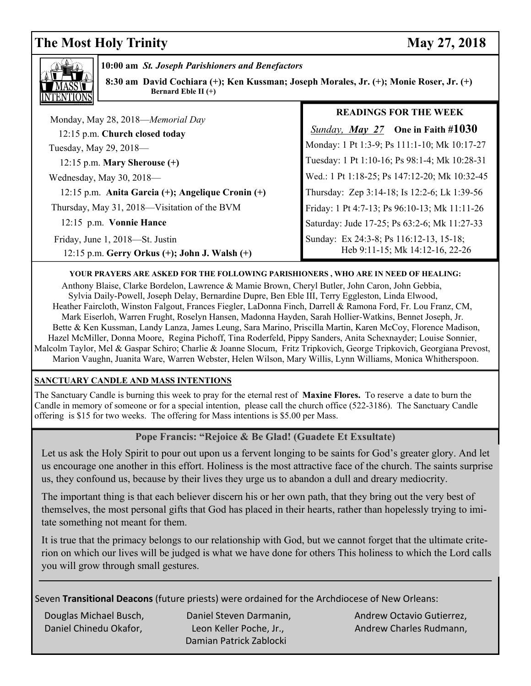# **The Most Holy Trinity** May 27, 2018



**10:00 am** *St. Joseph Parishioners and Benefactors*

**8:30 am David Cochiara (+); Ken Kussman; Joseph Morales, Jr. (+); Monie Roser, Jr. (+)** Bernard Eble II (+)

| Monday, May 28, 2018—Memorial Day                                                     | <b>READINGS FOR THE WEEK</b>                                               |
|---------------------------------------------------------------------------------------|----------------------------------------------------------------------------|
| 12:15 p.m. Church closed today                                                        | <b>Sunday, May 27</b> One in Faith #1030                                   |
| Tuesday, May 29, 2018-                                                                | Monday: 1 Pt 1:3-9; Ps 111:1-10; Mk 10:17-27                               |
| 12:15 p.m. Mary Sherouse $(+)$                                                        | Tuesday: 1 Pt 1:10-16; Ps 98:1-4; Mk 10:28-31                              |
| Wednesday, May 30, 2018-                                                              | Wed.: 1 Pt 1:18-25; Ps 147:12-20; Mk 10:32-45                              |
| 12:15 p.m. Anita Garcia (+); Angelique Cronin (+)                                     | Thursday: Zep 3:14-18; Is 12:2-6; Lk 1:39-56                               |
| Thursday, May 31, 2018—Visitation of the BVM                                          | Friday: 1 Pt 4:7-13; Ps 96:10-13; Mk 11:11-26                              |
| 12:15 p.m. Vonnie Hance                                                               | Saturday: Jude 17-25; Ps 63:2-6; Mk 11:27-33                               |
| Friday, June 1, 2018-St. Justin<br>12:15 p.m. Gerry Orkus $(+)$ ; John J. Walsh $(+)$ | Sunday: Ex 24:3-8; Ps 116:12-13, 15-18;<br>Heb 9:11-15; Mk 14:12-16, 22-26 |
|                                                                                       |                                                                            |

#### **YOUR PRAYERS ARE ASKED FOR THE FOLLOWING PARISHIONERS , WHO ARE IN NEED OF HEALING:**

 Anthony Blaise, Clarke Bordelon, Lawrence & Mamie Brown, Cheryl Butler, John Caron, John Gebbia, Sylvia Daily-Powell, Joseph Delay, Bernardine Dupre, Ben Eble III, Terry Eggleston, Linda Elwood, Heather Faircloth, Winston Falgout, Frances Fiegler, LaDonna Finch, Darrell & Ramona Ford, Fr. Lou Franz, CM, Mark Eiserloh, Warren Frught, Roselyn Hansen, Madonna Hayden, Sarah Hollier-Watkins, Bennet Joseph, Jr. Bette & Ken Kussman, Landy Lanza, James Leung, Sara Marino, Priscilla Martin, Karen McCoy, Florence Madison, Hazel McMiller, Donna Moore, Regina Pichoff, Tina Roderfeld, Pippy Sanders, Anita Schexnayder; Louise Sonnier, Malcolm Taylor, Mel & Gaspar Schiro; Charlie & Joanne Slocum, Fritz Tripkovich, George Tripkovich, Georgiana Prevost, Marion Vaughn, Juanita Ware, Warren Webster, Helen Wilson, Mary Willis, Lynn Williams, Monica Whitherspoon.

#### **SANCTUARY CANDLE AND MASS INTENTIONS**

The Sanctuary Candle is burning this week to pray for the eternal rest of **Maxine Flores.** To reserve a date to burn the Candle in memory of someone or for a special intention, please call the church office (522-3186). The Sanctuary Candle offering is \$15 for two weeks. The offering for Mass intentions is \$5.00 per Mass.

#### **Pope Francis: "Rejoice & Be Glad! (Guadete Et Exsultate)**

Let us ask the Holy Spirit to pour out upon us a fervent longing to be saints for God's greater glory. And let us encourage one another in this effort. Holiness is the most attractive face of the church. The saints surprise us, they confound us, because by their lives they urge us to abandon a dull and dreary mediocrity.

The important thing is that each believer discern his or her own path, that they bring out the very best of themselves, the most personal gifts that God has placed in their hearts, rather than hopelessly trying to imitate something not meant for them.

It is true that the primacy belongs to our relationship with God, but we cannot forget that the ultimate criterion on which our lives will be judged is what we have done for others This holiness to which the Lord calls you will grow through small gestures.

Seven **Transitional Deacons** (future priests) were ordained for the Archdiocese of New Orleans:

Damian Patrick Zablocki

Douglas Michael Busch, Daniel Steven Darmanin, Andrew Octavio Gutierrez, Daniel Chinedu Okafor, Leon Keller Poche, Jr., Andrew Charles Rudmann,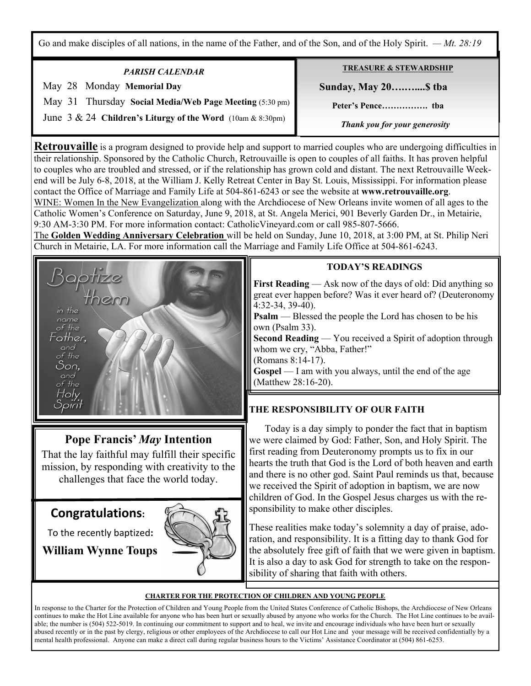Go and make disciples of all nations, in the name of the Father, and of the Son, and of the Holy Spirit. *— Mt. 28:19*

| <b>PARISH CALENDAR</b>                                     | <b>TREASURE &amp; STEWARDSHIP</b> |
|------------------------------------------------------------|-----------------------------------|
| May 28 Monday Memorial Day                                 | <b>Sunday, May 20</b> tha         |
| May 31 Thursday Social Media/Web Page Meeting (5:30 pm)    |                                   |
| June 3 & 24 Children's Liturgy of the Word (10am & 8:30pm) | Thank you for your generosity     |

**Retrouvaille** is a program designed to provide help and support to married couples who are undergoing difficulties in their relationship. Sponsored by the Catholic Church, Retrouvaille is open to couples of all faiths. It has proven helpful to couples who are troubled and stressed, or if the relationship has grown cold and distant. The next Retrouvaille Weekend will be July 6-8, 2018, at the William J. Kelly Retreat Center in Bay St. Louis, Mississippi. For information please contact the Office of Marriage and Family Life at 504-861-6243 or see the website at **www.retrouvaille.org**. WINE: Women In the New Evangelization along with the Archdiocese of New Orleans invite women of all ages to the Catholic Women's Conference on Saturday, June 9, 2018, at St. Angela Merici, 901 Beverly Garden Dr., in Metairie, 9:30 AM-3:30 PM. For more information contact: CatholicVineyard.com or call 985-807-5666.

The **Golden Wedding Anniversary Celebration** will be held on Sunday, June 10, 2018, at 3:00 PM, at St. Philip Neri Church in Metairie, LA. For more information call the Marriage and Family Life Office at 504-861-6243.



# **Pope Francis'** *May* **Intention**

That the lay faithful may fulfill their specific mission, by responding with creativity to the challenges that face the world today.

# **Congratulations:**

To the recently baptized**:** 

**William Wynne Toups**



## **TODAY'S READINGS**

**First Reading** — Ask now of the days of old: Did anything so great ever happen before? Was it ever heard of? (Deuteronomy 4:32-34, 39-40).

**Psalm** — Blessed the people the Lord has chosen to be his own (Psalm 33).

**Second Reading** — You received a Spirit of adoption through whom we cry, "Abba, Father!"

(Romans 8:14-17).

**Gospel** — I am with you always, until the end of the age (Matthew 28:16-20).

# **THE RESPONSIBILITY OF OUR FAITH**

 Today is a day simply to ponder the fact that in baptism we were claimed by God: Father, Son, and Holy Spirit. The first reading from Deuteronomy prompts us to fix in our hearts the truth that God is the Lord of both heaven and earth and there is no other god. Saint Paul reminds us that, because we received the Spirit of adoption in baptism, we are now children of God. In the Gospel Jesus charges us with the responsibility to make other disciples.

These realities make today's solemnity a day of praise, adoration, and responsibility. It is a fitting day to thank God for the absolutely free gift of faith that we were given in baptism. It is also a day to ask God for strength to take on the responsibility of sharing that faith with others.

#### **CHARTER FOR THE PROTECTION OF CHILDREN AND YOUNG PEOPLE**

In response to the Charter for the Protection of Children and Young People from the United States Conference of Catholic Bishops, the Archdiocese of New Orleans continues to make the Hot Line available for anyone who has been hurt or sexually abused by anyone who works for the Church. The Hot Line continues to be available; the number is (504) 522-5019. In continuing our commitment to support and to heal, we invite and encourage individuals who have been hurt or sexually abused recently or in the past by clergy, religious or other employees of the Archdiocese to call our Hot Line and your message will be received confidentially by a mental health professional. Anyone can make a direct call during regular business hours to the Victims' Assistance Coordinator at (504) 861-6253.